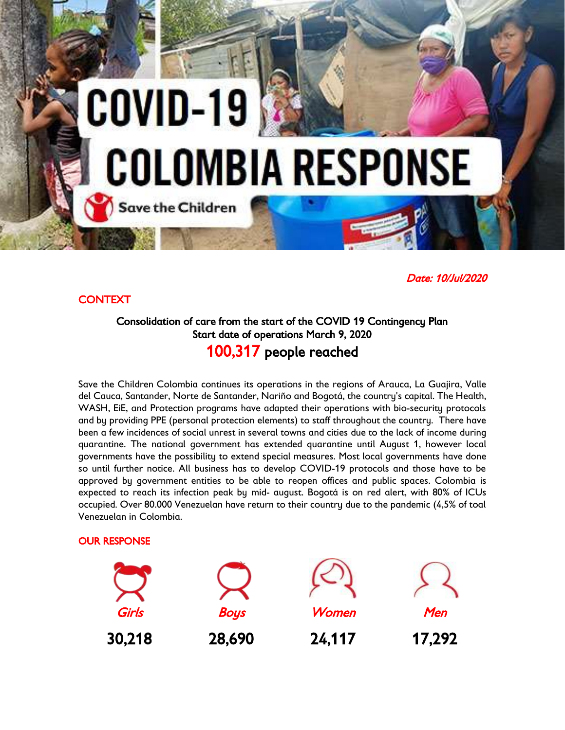# COVID-19 **COLOMBIA RESPONSE Save the Children**

# *Date: 10/Jul/2020*

## *CONTEXT*

# *Consolidation of care from the start of the COVID 19 Contingency Plan Start date of operations March 9, 2020 100,317 people reached*

*Save the Children Colombia continues its operations in the regions of Arauca, La Guajira, Valle del Cauca, Santander, Norte de Santander, Nariño and Bogotá, the country's capital. The Health, WASH, EiE, and Protection programs have adapted their operations with bio-security protocols and by providing PPE (personal protection elements) to staff throughout the country. There have been a few incidences of social unrest in several towns and cities due to the lack of income during quarantine. The national government has extended quarantine until August 1, however local governments have the possibility to extend special measures. Most local governments have done so until further notice. All business has to develop COVID-19 protocols and those have to be approved by government entities to be able to reopen offices and public spaces. Colombia is expected to reach its infection peak by mid- august. Bogotá is on red alert, with 80% of ICUs occupied. Over 80.000 Venezuelan have return to their country due to the pandemic (4,5% of toal Venezuelan in Colombia.*

### *OUR RESPONSE*

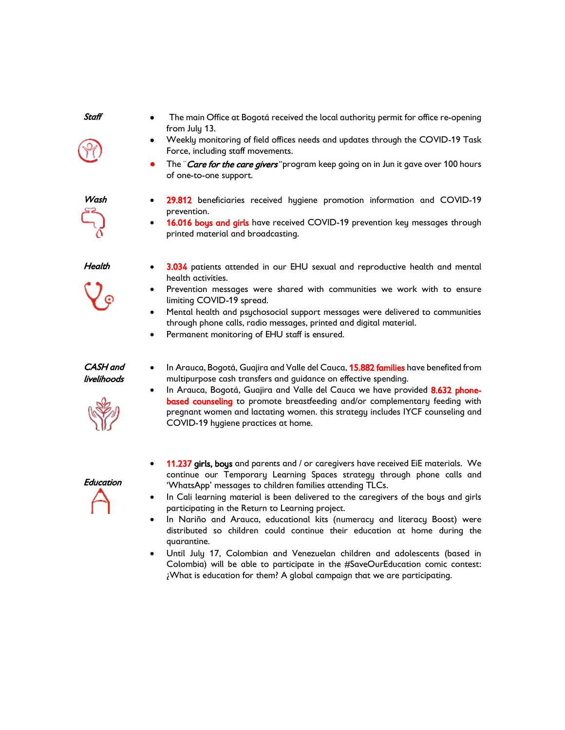*Staff* 

- 
- *The main Office at Bogotá received the local authority permit for office re-opening from July 13.*
- *Weekly monitoring of field offices needs and updates through the COVID-19 Task Force, including staff movements.*
- *The ¨Care for the care givers¨ program keep going on in Jun it gave over 100 hours of one-to-one support.*

*Wash 29.812 beneficiaries received hygiene promotion information and COVID-19 prevention.*

 *16.016 boys and girls have received COVID-19 prevention key messages through printed material and broadcasting.* 

*Health* 

- *3.034 patients attended in our EHU sexual and reproductive health and mental health activities.*
- *Prevention messages were shared with communities we work with to ensure limiting COVID-19 spread.*
- *Mental health and psychosocial support messages were delivered to communities through phone calls, radio messages, printed and digital material.*
- *Permanent monitoring of EHU staff is ensured.*

### *CASH and livelihoods*

- *In Arauca, Bogotá, Guajira and Valle del Cauca, 15.882 families have benefited from multipurpose cash transfers and guidance on effective spending.*
- 
- *In Arauca, Bogotá, Guajira and Valle del Cauca we have provided 8.632 phonebased counseling to promote breastfeeding and/or complementary feeding with pregnant women and lactating women. this strategy includes IYCF counseling and COVID-19 hygiene practices at home.*
- *Education*
- *11.237 girls, boys and parents and / or caregivers have received EiE materials. We continue our Temporary Learning Spaces strategy through phone calls and 'WhatsApp' messages to children families attending TLCs.*
- *In Cali learning material is been delivered to the caregivers of the boys and girls participating in the Return to Learning project.*
- *In Nariño and Arauca, educational kits (numeracy and literacy Boost) were distributed so children could continue their education at home during the quarantine.*
- *Until July 17, Colombian and Venezuelan children and adolescents (based in Colombia) will be able to participate in the #SaveOurEducation comic contest: ¿What is education for them? A global campaign that we are participating.*